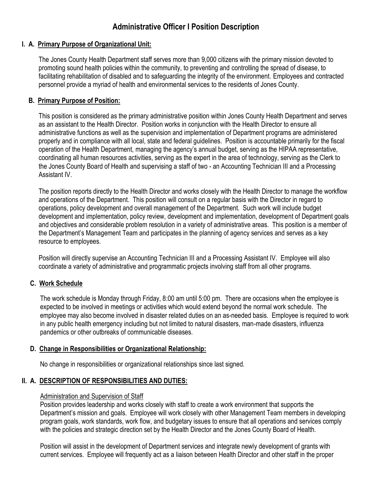# **Administrative Officer I Position Description**

## **I. A. Primary Purpose of Organizational Unit:**

The Jones County Health Department staff serves more than 9,000 citizens with the primary mission devoted to promoting sound health policies within the community, to preventing and controlling the spread of disease, to facilitating rehabilitation of disabled and to safeguarding the integrity of the environment. Employees and contracted personnel provide a myriad of health and environmental services to the residents of Jones County.

### **B. Primary Purpose of Position:**

This position is considered as the primary administrative position within Jones County Health Department and serves as an assistant to the Health Director. Position works in conjunction with the Health Director to ensure all administrative functions as well as the supervision and implementation of Department programs are administered properly and in compliance with all local, state and federal guidelines. Position is accountable primarily for the fiscal operation of the Health Department, managing the agency's annual budget, serving as the HIPAA representative, coordinating all human resources activities, serving as the expert in the area of technology, serving as the Clerk to the Jones County Board of Health and supervising a staff of two - an Accounting Technician III and a Processing Assistant IV.

The position reports directly to the Health Director and works closely with the Health Director to manage the workflow and operations of the Department. This position will consult on a regular basis with the Director in regard to operations, policy development and overall management of the Department. Such work will include budget development and implementation, policy review, development and implementation, development of Department goals and objectives and considerable problem resolution in a variety of administrative areas. This position is a member of the Department's Management Team and participates in the planning of agency services and serves as a key resource to employees.

Position will directly supervise an Accounting Technician III and a Processing Assistant IV. Employee will also coordinate a variety of administrative and programmatic projects involving staff from all other programs.

## **C. Work Schedule**

The work schedule is Monday through Friday, 8:00 am until 5:00 pm. There are occasions when the employee is expected to be involved in meetings or activities which would extend beyond the normal work schedule. The employee may also become involved in disaster related duties on an as-needed basis. Employee is required to work in any public health emergency including but not limited to natural disasters, man-made disasters, influenza pandemics or other outbreaks of communicable diseases.

#### **D. Change in Responsibilities or Organizational Relationship:**

No change in responsibilities or organizational relationships since last signed.

## **II. A. DESCRIPTION OF RESPONSIBILITIES AND DUTIES:**

#### Administration and Supervision of Staff

Position provides leadership and works closely with staff to create a work environment that supports the Department's mission and goals. Employee will work closely with other Management Team members in developing program goals, work standards, work flow, and budgetary issues to ensure that all operations and services comply with the policies and strategic direction set by the Health Director and the Jones County Board of Health.

Position will assist in the development of Department services and integrate newly development of grants with current services. Employee will frequently act as a liaison between Health Director and other staff in the proper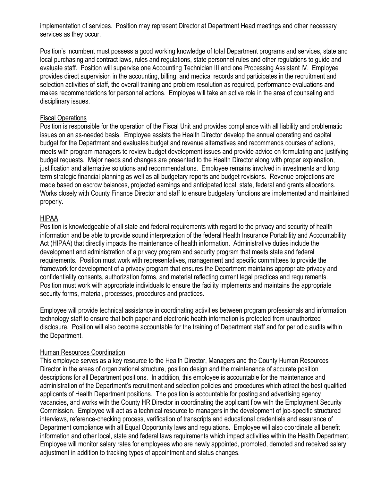implementation of services. Position may represent Director at Department Head meetings and other necessary services as they occur.

Position's incumbent must possess a good working knowledge of total Department programs and services, state and local purchasing and contract laws, rules and regulations, state personnel rules and other regulations to guide and evaluate staff. Position will supervise one Accounting Technician III and one Processing Assistant IV. Employee provides direct supervision in the accounting, billing, and medical records and participates in the recruitment and selection activities of staff, the overall training and problem resolution as required, performance evaluations and makes recommendations for personnel actions. Employee will take an active role in the area of counseling and disciplinary issues.

#### Fiscal Operations

Position is responsible for the operation of the Fiscal Unit and provides compliance with all liability and problematic issues on an as-needed basis. Employee assists the Health Director develop the annual operating and capital budget for the Department and evaluates budget and revenue alternatives and recommends courses of actions, meets with program managers to review budget development issues and provide advice on formulating and justifying budget requests. Major needs and changes are presented to the Health Director along with proper explanation, justification and alternative solutions and recommendations. Employee remains involved in investments and long term strategic financial planning as well as all budgetary reports and budget revisions. Revenue projections are made based on escrow balances, projected earnings and anticipated local, state, federal and grants allocations. Works closely with County Finance Director and staff to ensure budgetary functions are implemented and maintained properly.

#### HIPAA

Position is knowledgeable of all state and federal requirements with regard to the privacy and security of health information and be able to provide sound interpretation of the federal Health Insurance Portability and Accountability Act (HIPAA) that directly impacts the maintenance of health information. Administrative duties include the development and administration of a privacy program and security program that meets state and federal requirements. Position must work with representatives, management and specific committees to provide the framework for development of a privacy program that ensures the Department maintains appropriate privacy and confidentiality consents, authorization forms, and material reflecting current legal practices and requirements. Position must work with appropriate individuals to ensure the facility implements and maintains the appropriate security forms, material, processes, procedures and practices.

Employee will provide technical assistance in coordinating activities between program professionals and information technology staff to ensure that both paper and electronic health information is protected from unauthorized disclosure. Position will also become accountable for the training of Department staff and for periodic audits within the Department.

#### Human Resources Coordination

This employee serves as a key resource to the Health Director, Managers and the County Human Resources Director in the areas of organizational structure, position design and the maintenance of accurate position descriptions for all Department positions. In addition, this employee is accountable for the maintenance and administration of the Department's recruitment and selection policies and procedures which attract the best qualified applicants of Health Department positions. The position is accountable for posting and advertising agency vacancies, and works with the County HR Director in coordinating the applicant flow with the Employment Security Commission. Employee will act as a technical resource to managers in the development of job-specific structured interviews, reference-checking process, verification of transcripts and educational credentials and assurance of Department compliance with all Equal Opportunity laws and regulations. Employee will also coordinate all benefit information and other local, state and federal laws requirements which impact activities within the Health Department. Employee will monitor salary rates for employees who are newly appointed, promoted, demoted and received salary adjustment in addition to tracking types of appointment and status changes.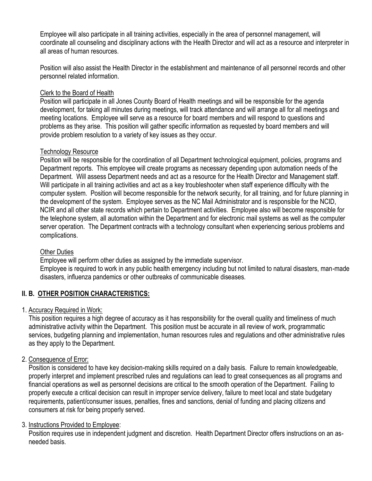Employee will also participate in all training activities, especially in the area of personnel management, will coordinate all counseling and disciplinary actions with the Health Director and will act as a resource and interpreter in all areas of human resources.

Position will also assist the Health Director in the establishment and maintenance of all personnel records and other personnel related information.

### Clerk to the Board of Health

Position will participate in all Jones County Board of Health meetings and will be responsible for the agenda development, for taking all minutes during meetings, will track attendance and will arrange all for all meetings and meeting locations. Employee will serve as a resource for board members and will respond to questions and problems as they arise. This position will gather specific information as requested by board members and will provide problem resolution to a variety of key issues as they occur.

### Technology Resource

Position will be responsible for the coordination of all Department technological equipment, policies, programs and Department reports. This employee will create programs as necessary depending upon automation needs of the Department. Will assess Department needs and act as a resource for the Health Director and Management staff. Will participate in all training activities and act as a key troubleshooter when staff experience difficulty with the computer system. Position will become responsible for the network security, for all training, and for future planning in the development of the system. Employee serves as the NC Mail Administrator and is responsible for the NCID, NCIR and all other state records which pertain to Department activities. Employee also will become responsible for the telephone system, all automation within the Department and for electronic mail systems as well as the computer server operation. The Department contracts with a technology consultant when experiencing serious problems and complications.

#### Other Duties

Employee will perform other duties as assigned by the immediate supervisor. Employee is required to work in any public health emergency including but not limited to natural disasters, man-made disasters, influenza pandemics or other outbreaks of communicable diseases.

## **II. B. OTHER POSITION CHARACTERISTICS:**

## 1. Accuracy Required in Work:

This position requires a high degree of accuracy as it has responsibility for the overall quality and timeliness of much administrative activity within the Department. This position must be accurate in all review of work, programmatic services, budgeting planning and implementation, human resources rules and regulations and other administrative rules as they apply to the Department.

## 2. Consequence of Error:

Position is considered to have key decision-making skills required on a daily basis. Failure to remain knowledgeable, properly interpret and implement prescribed rules and regulations can lead to great consequences as all programs and financial operations as well as personnel decisions are critical to the smooth operation of the Department. Failing to properly execute a critical decision can result in improper service delivery, failure to meet local and state budgetary requirements, patient/consumer issues, penalties, fines and sanctions, denial of funding and placing citizens and consumers at risk for being properly served.

#### 3. Instructions Provided to Employee:

Position requires use in independent judgment and discretion. Health Department Director offers instructions on an asneeded basis.